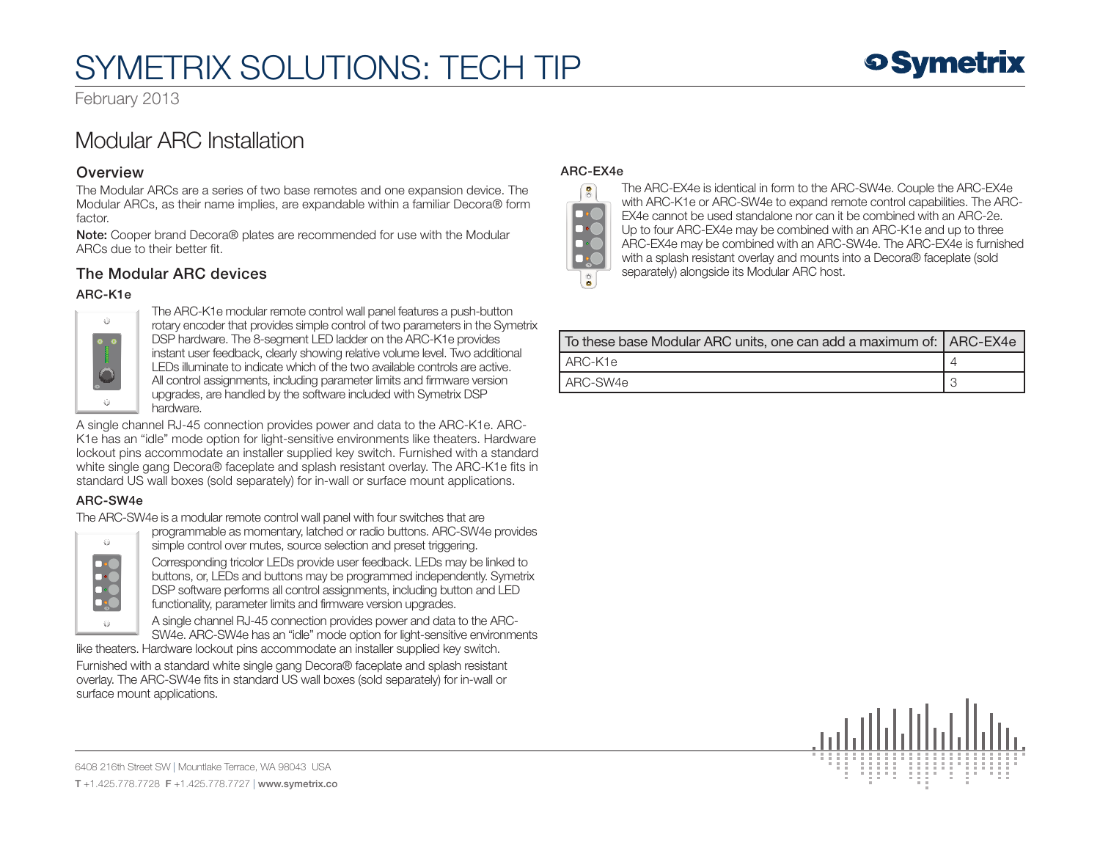# SYMETRIX SOLUTIONS: TECH TIP

**9 Symetrix** 

February 2013

# Modular ARC Installation

## **Overview**

The Modular ARCs are a series of two base remotes and one expansion device. The Modular ARCs, as their name implies, are expandable within a familiar Decora® form factor.

Note: Cooper brand Decora® plates are recommended for use with the Modular ARCs due to their better fit.

# The Modular ARC devices

### ARC-K1e



The ARC-K1e modular remote control wall panel features a push-button rotary encoder that provides simple control of two parameters in the Symetrix DSP hardware. The 8-segment LED ladder on the ARC-K1e provides instant user feedback, clearly showing relative volume level. Two additional LEDs illuminate to indicate which of the two available controls are active. All control assignments, including parameter limits and firmware version upgrades, are handled by the software included with Symetrix DSP hardware.

A single channel RJ-45 connection provides power and data to the ARC-K1e. ARC-K1e has an "idle" mode option for light-sensitive environments like theaters. Hardware lockout pins accommodate an installer supplied key switch. Furnished with a standard white single gang Decora® faceplate and splash resistant overlay. The ARC-K1e fits in standard US wall boxes (sold separately) for in-wall or surface mount applications.

### ARC-SW4e

The ARC-SW4e is a modular remote control wall panel with four switches that are



programmable as momentary, latched or radio buttons. ARC-SW4e provides simple control over mutes, source selection and preset triggering. Corresponding tricolor LEDs provide user feedback. LEDs may be linked to buttons, or, LEDs and buttons may be programmed independently. Symetrix DSP software performs all control assignments, including button and LED functionality, parameter limits and firmware version upgrades.

A single channel RJ-45 connection provides power and data to the ARC-SW4e. ARC-SW4e has an "idle" mode option for light-sensitive environments

like theaters. Hardware lockout pins accommodate an installer supplied key switch. Furnished with a standard white single gang Decora® faceplate and splash resistant overlay. The ARC-SW4e fits in standard US wall boxes (sold separately) for in-wall or surface mount applications.

### ARC-EX4e



The ARC-EX4e is identical in form to the ARC-SW4e. Couple the ARC-EX4e with ARC-K1e or ARC-SW4e to expand remote control capabilities. The ARC-EX4e cannot be used standalone nor can it be combined with an ARC-2e. Up to four ARC-EX4e may be combined with an ARC-K1e and up to three ARC-EX4e may be combined with an ARC-SW4e. The ARC-EX4e is furnished with a splash resistant overlay and mounts into a Decora® faceplate (sold separately) alongside its Modular ARC host.

| To these base Modular ARC units, one can add a maximum of:   ARC-EX4e |  |
|-----------------------------------------------------------------------|--|
| ARC-K1e                                                               |  |
| ARC-SW4e                                                              |  |



6408 216th Street SW | Mountlake Terrace, WA 98043 USA T +1.425.778.7728 F +1.425.778.7727 | www.symetrix.co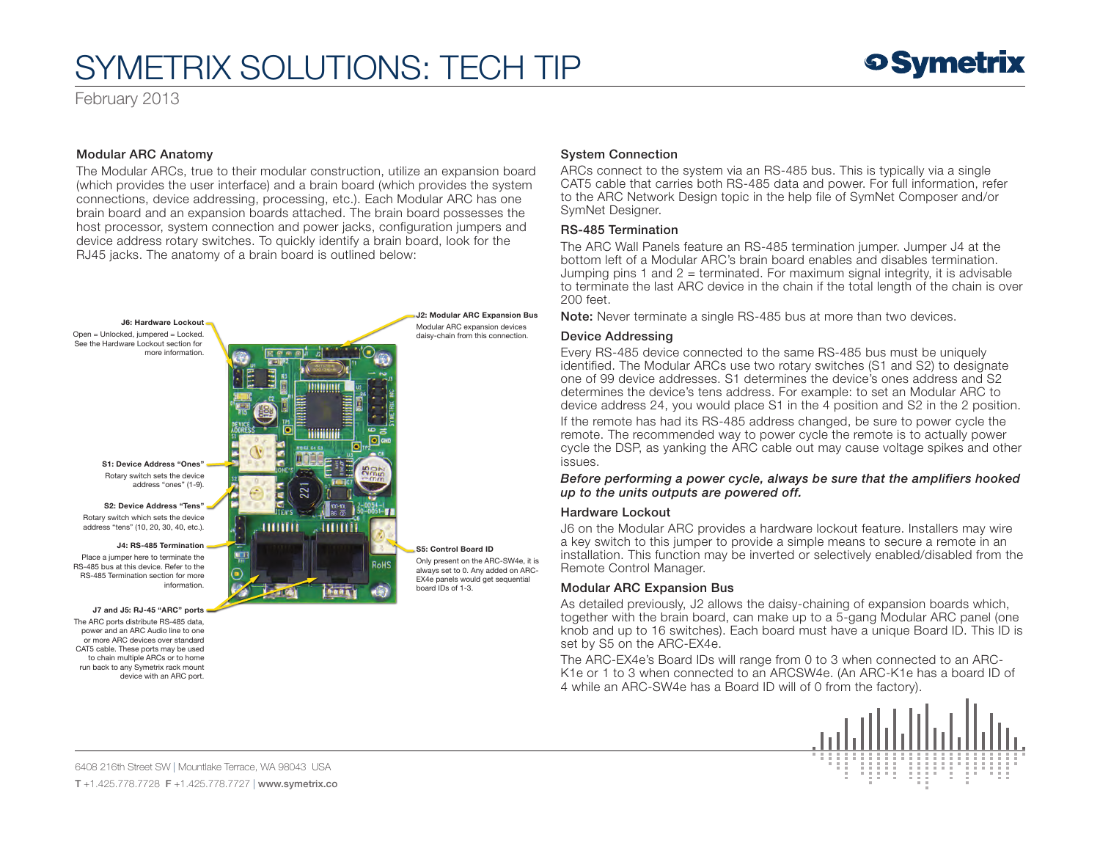# SYMETRIX SOLUTIONS: TECH TIP

February 2013

#### Modular ARC Anatomy

The Modular ARCs, true to their modular construction, utilize an expansion board (which provides the user interface) and a brain board (which provides the system connections, device addressing, processing, etc.). Each Modular ARC has one brain board and an expansion boards attached. The brain board possesses the host processor, system connection and power jacks, configuration jumpers and device address rotary switches. To quickly identify a brain board, look for the RJ45 jacks. The anatomy of a brain board is outlined below:



#### System Connection

ARCs connect to the system via an RS-485 bus. This is typically via a single CAT5 cable that carries both RS-485 data and power. For full information, refer to the ARC Network Design topic in the help file of SymNet Composer and/or SymNet Designer.

#### RS-485 Termination

The ARC Wall Panels feature an RS-485 termination jumper. Jumper J4 at the bottom left of a Modular ARC's brain board enables and disables termination. Jumping pins 1 and  $2 =$  terminated. For maximum signal integrity, it is advisable to terminate the last ARC device in the chain if the total length of the chain is over 200 feet.

Note: Never terminate a single RS-485 bus at more than two devices.

#### Device Addressing

Every RS-485 device connected to the same RS-485 bus must be uniquely identified. The Modular ARCs use two rotary switches (S1 and S2) to designate one of 99 device addresses. S1 determines the device's ones address and S2 determines the device's tens address. For example: to set an Modular ARC to device address 24, you would place S1 in the 4 position and S2 in the 2 position.

If the remote has had its RS-485 address changed, be sure to power cycle the remote. The recommended way to power cycle the remote is to actually power cycle the DSP, as yanking the ARC cable out may cause voltage spikes and other issues.

*Before performing a power cycle, always be sure that the amplifiers hooked up to the units outputs are powered off.*

#### Hardware Lockout

J6 on the Modular ARC provides a hardware lockout feature. Installers may wire a key switch to this jumper to provide a simple means to secure a remote in an installation. This function may be inverted or selectively enabled/disabled from the Remote Control Manager.

#### Modular ARC Expansion Bus

As detailed previously, J2 allows the daisy-chaining of expansion boards which, together with the brain board, can make up to a 5-gang Modular ARC panel (one knob and up to 16 switches). Each board must have a unique Board ID. This ID is set by S5 on the ARC-EX4e.

The ARC-EX4e's Board IDs will range from 0 to 3 when connected to an ARC-K1e or 1 to 3 when connected to an ARCSW4e. (An ARC-K1e has a board ID of 4 while an ARC-SW4e has a Board ID will of 0 from the factory).



6408 216th Street SW | Mountlake Terrace, WA 98043 USA T +1.425.778.7728 F +1.425.778.7727 | www.symetrix.co

device with an ARC port.